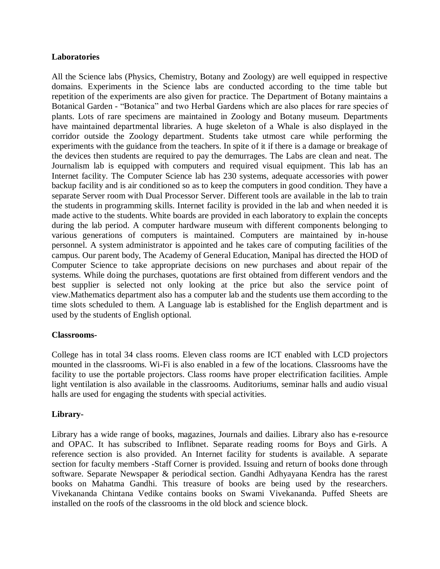# **Laboratories**

All the Science labs (Physics, Chemistry, Botany and Zoology) are well equipped in respective domains. Experiments in the Science labs are conducted according to the time table but repetition of the experiments are also given for practice. The Department of Botany maintains a Botanical Garden - "Botanica" and two Herbal Gardens which are also places for rare species of plants. Lots of rare specimens are maintained in Zoology and Botany museum. Departments have maintained departmental libraries. A huge skeleton of a Whale is also displayed in the corridor outside the Zoology department. Students take utmost care while performing the experiments with the guidance from the teachers. In spite of it if there is a damage or breakage of the devices then students are required to pay the demurrages. The Labs are clean and neat. The Journalism lab is equipped with computers and required visual equipment. This lab has an Internet facility. The Computer Science lab has 230 systems, adequate accessories with power backup facility and is air conditioned so as to keep the computers in good condition. They have a separate Server room with Dual Processor Server. Different tools are available in the lab to train the students in programming skills. Internet facility is provided in the lab and when needed it is made active to the students. White boards are provided in each laboratory to explain the concepts during the lab period. A computer hardware museum with different components belonging to various generations of computers is maintained. Computers are maintained by in-house personnel. A system administrator is appointed and he takes care of computing facilities of the campus. Our parent body, The Academy of General Education, Manipal has directed the HOD of Computer Science to take appropriate decisions on new purchases and about repair of the systems. While doing the purchases, quotations are first obtained from different vendors and the best supplier is selected not only looking at the price but also the service point of view.Mathematics department also has a computer lab and the students use them according to the time slots scheduled to them. A Language lab is established for the English department and is used by the students of English optional.

# **Classrooms-**

College has in total 34 class rooms. Eleven class rooms are ICT enabled with LCD projectors mounted in the classrooms. Wi-Fi is also enabled in a few of the locations. Classrooms have the facility to use the portable projectors. Class rooms have proper electrification facilities. Ample light ventilation is also available in the classrooms. Auditoriums, seminar halls and audio visual halls are used for engaging the students with special activities.

# **Library-**

Library has a wide range of books, magazines, Journals and dailies. Library also has e-resource and OPAC. It has subscribed to Inflibnet. Separate reading rooms for Boys and Girls. A reference section is also provided. An Internet facility for students is available. A separate section for faculty members -Staff Corner is provided. Issuing and return of books done through software. Separate Newspaper & periodical section. Gandhi Adhyayana Kendra has the rarest books on Mahatma Gandhi. This treasure of books are being used by the researchers. Vivekananda Chintana Vedike contains books on Swami Vivekananda. Puffed Sheets are installed on the roofs of the classrooms in the old block and science block.